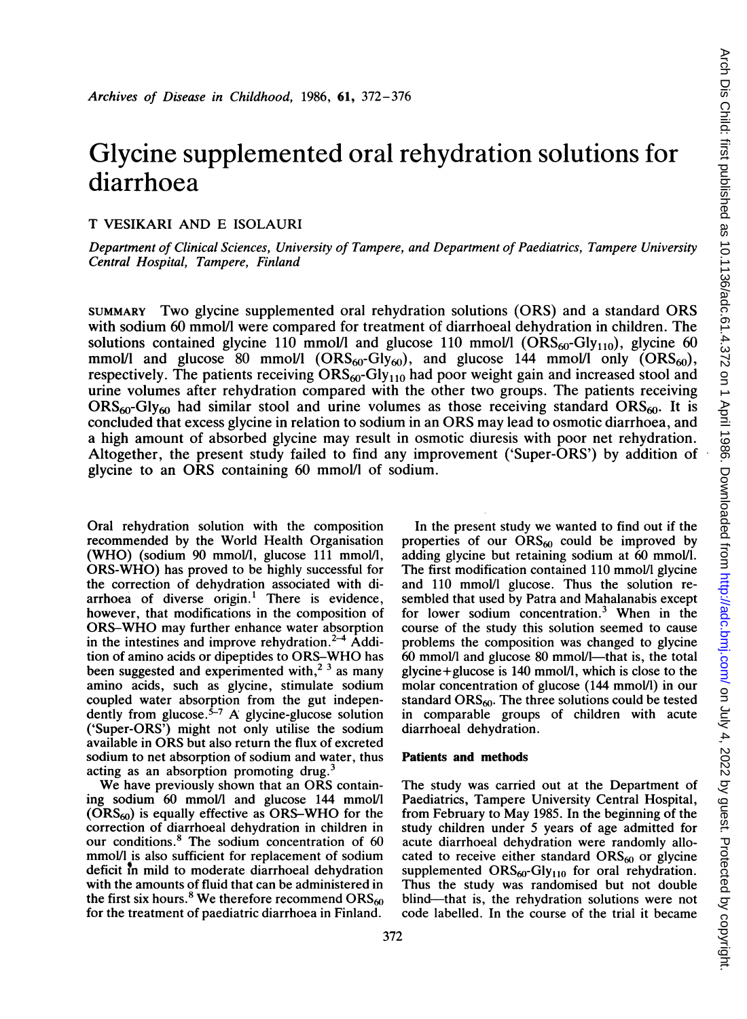# Glycine supplemented oral rehydration solutions for diarrhoea

## T VESIKARI AND E ISOLAURI

Department of Clinical Sciences, University of Tampere, and Department of Paediatrics, Tampere University Central Hospital, Tampere, Finland

SUMMARY Two glycine supplemented oral rehydration solutions (ORS) and <sup>a</sup> standard ORS with sodium 60 mmol/l were compared for treatment of diarrhoeal dehydration in children. The solutions contained glycine 110 mmol/l and glucose 110 mmol/l  $(ORS<sub>60</sub>-Gly<sub>110</sub>)$ , glycine 60 mmol/l and glucose 80 mmol/l  $(ORS_{60} - Gly_{60})$ , and glucose 144 mmol/l only  $(ORS_{60})$ , respectively. The patients receiving  $ORS<sub>60</sub>-Gly<sub>110</sub>$  had poor weight gain and increased stool and urine volumes after rehydration compared with the other two groups. The patients receiving  $\text{ORS}_{60}$ -Gly<sub>60</sub> had similar stool and urine volumes as those receiving standard  $\text{ORS}_{60}$ . It is concluded that excess glycine in relation to sodium in an ORS may lead to osmotic diarrhoea, and a high amount of absorbed glycine may result in osmotic diuresis with poor net rehydration. Altogether, the present study failed to find any improvement ('Super-ORS') by addition of glycine to an ORS containing 60 mmol/l of sodium.

Oral rehydration solution with the composition recommended by the World Health Organisation (WHO) (sodium 90 mmol/l, glucose <sup>111</sup> mmol/l, ORS-WHO) has proved to be highly successful for the correction of dehydration associated with diarrhoea of diverse origin. $1$  There is evidence, however, that modifications in the composition of ORS-WHO may further enhance water absorption in the intestines and improve rehydration.<sup>2-4</sup> Addition of amino acids or dipeptides to ORS-WHO has been suggested and experimented with,<sup>2 3</sup> as many amino acids, such as glycine, stimulate sodium coupled water absorption from the gut independently from glucose.<sup>5-7</sup> A glycine-glucose solution ('Super-ORS') might not only utilise the sodium available in ORS but also return the flux of excreted sodium to net absorption of sodium and water, thus acting as an absorption promoting drug.

We have previously shown that an ORS containing sodium 60 mmol/I and glucose 144 mmol/l  $(ORS<sub>60</sub>)$  is equally effective as ORS-WHO for the correction of diarrhoeal dehydration in children in our conditions.8 The sodium concentration of 60 mmol/I is also sufficient for replacement of sodium deficit in mild to moderate diarrhoeal dehydration with the amounts of fluid that can be administered in the first six hours.<sup>8</sup> We therefore recommend ORS $_{60}$ for the treatment of paediatric diarrhoea in Finland.

In the present study we wanted to find out if the properties of our  $ORS_{60}$  could be improved by adding glycine but retaining sodium at 60 mmolll. The first modification contained 110 mmol/I glycine and 110 mmol/l glucose. Thus the solution resembled that used by Patra and Mahalanabis except for lower sodium concentration.3 When in the course of the study this solution seemed to cause problems the composition was changed to glycine  $60$  mmol/l and glucose  $80$  mmol/l-that is, the total  $glycine+glucose$  is 140 mmol/l, which is close to the molar concentration of glucose (144 mmol/1) in our standard  $ORS<sub>60</sub>$ . The three solutions could be tested in comparable groups of children with acute diarrhoeal dehydration.

#### Patients and methods

The study was carried out at the Department of Paediatrics, Tampere University Central Hospital, from February to May 1985. In the beginning of the study children under 5 years of age admitted for acute diarrhoeal dehydration were randomly allocated to receive either standard  $ORS_{60}$  or glycine supplemented  $ORS_{60}Gly_{110}$  for oral rehydration. Thus the study was randomised but not double blind-that is, the rehydration solutions were not code labelled. In the course of the trial it became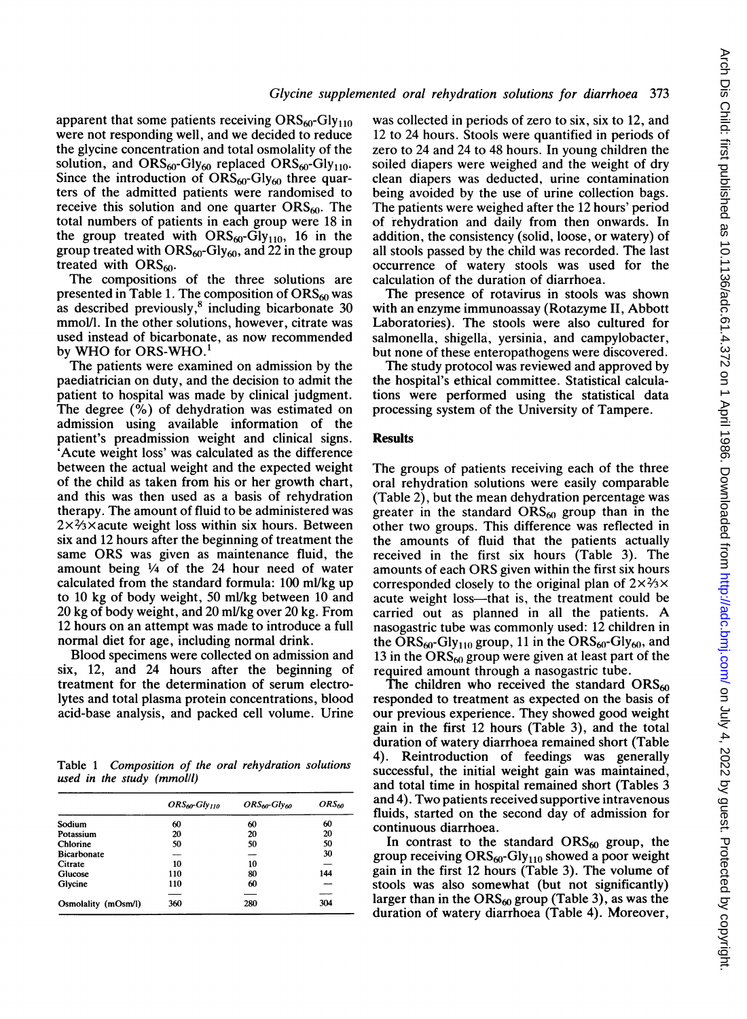apparent that some patients receiving  $ORS<sub>60</sub>-Gly<sub>110</sub>$ were not responding well, and we decided to reduce the glycine concentration and total osmolality of the solution, and  $ORS_{60}$ -Gly<sub>60</sub> replaced  $ORS_{60}$ -Gly<sub>110</sub>. Since the introduction of  $\text{ORS}_{60}$ -Gly<sub>60</sub> three quarters of the admitted patients were randomised to receive this solution and one quarter  $ORS<sub>60</sub>$ . The total numbers of patients in each group were 18 in the group treated with  $ORS_{60}$ -Gly<sub>110</sub>, 16 in the group treated with  $ORS_{60}$ -Gly<sub>60</sub>, and 22 in the group treated with  $ORS<sub>60</sub>$ .

The compositions of the three solutions are presented in Table 1. The composition of  $\text{ORS}_{60}$  was as described previously, $8$  including bicarbonate 30 mmol/l. In the other solutions, however, citrate was used instead of bicarbonate, as now recommended by WHO for ORS-WHO.<sup>1</sup>

The patients were examined on admission by the paediatrician on duty, and the decision to admit the patient to hospital was made by clinical judgment. The degree (%) of dehydration was estimated on admission using available information of the patient's preadmission weight and clinical signs. 'Acute weight loss' was calculated as the difference between the actual weight and the expected weight of the child as taken from his or her growth chart, and this was then used as a basis of rehydration therapy. The amount of fluid to be administered was  $2\times$ <sup>2</sup>/<sub>3</sub> $\times$  acute weight loss within six hours. Between six and 12 hours after the beginning of treatment the same ORS was given as maintenance fluid, the amount being 1/4 of the 24 hour need of water calculated from the standard formula: 100 ml/kg up to 10 kg of body weight, 50 ml/kg between 10 and 20 kg of body weight, and 20 ml/kg over 20 kg. From 12 hours on an attempt was made to introduce a full normal diet for age, including normal drink.

Blood specimens were collected on admission and six, 12, and 24 hours after the beginning of treatment for the determination of serum electrolytes and total plasma protein concentrations, blood acid-base analysis, and packed cell volume. Urine

Table <sup>1</sup> Composition of the oral rehydration solutions used in the study (mmolll)

|                     | $ORS_{60}Glv_{110}$ | ORS <sub>60</sub> -Gly <sub>60</sub> | ORS <sub>60</sub> |
|---------------------|---------------------|--------------------------------------|-------------------|
| Sodium              | 60                  | 60                                   | 60                |
| Potassium           | 20                  | 20                                   | 20                |
| Chlorine            | 50                  | 50                                   | 50                |
| <b>Bicarbonate</b>  | __                  |                                      | 30                |
| Citrate             | 10                  | 10                                   |                   |
| Glucose             | 110                 | 80                                   | 144               |
| Glycine             | 110                 | 60                                   |                   |
|                     |                     |                                      |                   |
| Osmolality (mOsm/l) | 360                 | 280                                  | 304               |

was collected in periods of zero to six, six to 12, and 12 to 24 hours. Stools were quantified in periods of zero to 24 and 24 to 48 hours. In young children the soiled diapers were weighed and the weight of dry clean diapers was deducted, urine contamination being avoided by the use of urine collection bags. The patients were weighed after the 12 hours' period of rehydration and daily from then onwards. In addition, the consistency (solid, loose, or watery) of all stools passed by the child was recorded. The last occurrence of watery stools was used for the calculation of the duration of diarrhoea.

The presence of rotavirus in stools was shown with an enzyme immunoassay (Rotazyme II, Abbott Laboratories). The stools were also cultured for salmonella, shigella, yersinia, and campylobacter, but none of these enteropathogens were discovered.

The study protocol was reviewed and approved by the hospital's ethical committee. Statistical calculations were performed using the statistical data processing system of the University of Tampere.

#### **Results**

The groups of patients receiving each of the three oral rehydration solutions were easily comparable (Table 2), but the mean dehydration percentage was greater in the standard  $ORS_{60}$  group than in the other two groups. This difference was reflected in the amounts of fluid that the patients actually received in the first six hours (Table 3). The amounts of each ORS given within the first six hours corresponded closely to the original plan of  $2\times\frac{2}{3}\times$ acute weight loss—that is, the treatment could be carried out as planned in all the patients. A nasogastric tube was commonly used: 12 children in the  $\text{ORS}_{60}$ -Gly<sub>110</sub> group, 11 in the  $\text{ORS}_{60}$ -Gly<sub>60</sub>, and 13 in the  $\text{ORS}_{60}$  group were given at least part of the required amount through a nasogastric tube.

The children who received the standard  $ORS_{60}$ responded to treatment as expected on the basis of our previous experience. They showed good weight gain in the first 12 hours (Table 3), and the total duration of watery diarrhoea remained short (Table 4). Reintroduction of feedings was generally successful, the initial weight gain was maintained, and total time in hospital remained short (Tables 3 and 4). Two patients received supportive intravenous fluids, started on the second day of admission for continuous diarrhoea.

In contrast to the standard  $ORS<sub>60</sub>$  group, the group receiving  $ORS_{60}$ -Gly<sub>110</sub> showed a poor weight gain in the first 12 hours (Table 3). The volume of stools was also somewhat (but not significantly) larger than in the  $ORS_{60}$  group (Table 3), as was the duration of watery diarrhoea (Table 4). Moreover,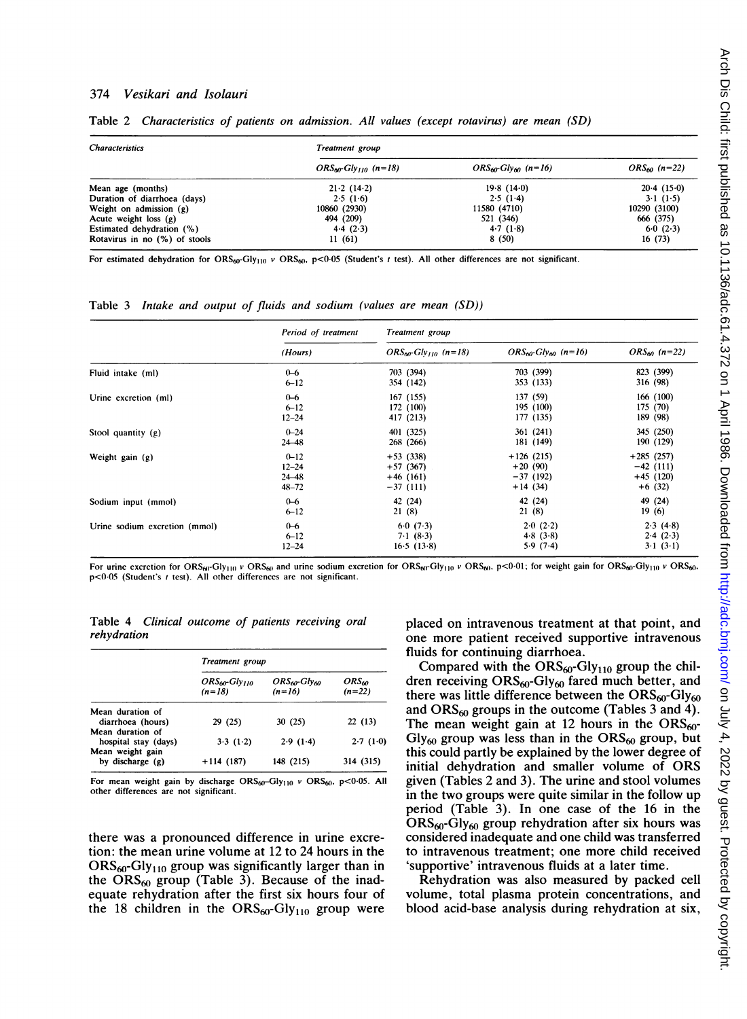#### 374 Vesikari and Isolauri

| <b>Characteristics</b>        | Treatment group            |                                     |                   |  |
|-------------------------------|----------------------------|-------------------------------------|-------------------|--|
|                               | $ORS_{60}Gly_{110}$ (n=18) | $ORS_{60}G$ <sub>N60</sub> $(n=16)$ | $ORS_{60}$ (n=22) |  |
| Mean age (months)             | 21.2(14.2)                 | 19.8(14.0)                          | 20.4(15.0)        |  |
| Duration of diarrhoea (days)  | 2.5(1.6)                   | 2.5(14)                             | 31(1.5)           |  |
| Weight on admission (g)       | 10860 (2930)               | 11580 (4710)                        | 10290 (3100)      |  |
| Acute weight loss $(g)$       | 494 (209)                  | 521 (346)                           | 666 (375)         |  |
| Estimated dehydration (%)     | 4.4(2.3)                   | 4.7(1.8)                            | 6.0(2.3)          |  |
| Rotavirus in no (%) of stools | 11(61)                     | 8(50)                               | 16(73)            |  |

Table 2 Characteristics of patients on admission. All values (except rotavirus) are mean (SD)

For estimated dehydration for ORS<sub>60</sub>-Gly<sub>110</sub> v ORS<sub>60</sub>, p<0.05 (Student's t test). All other differences are not significant.

Table 3 Intake and output of fluids and sodium (values are mean (SD))

|                               | Period of treatment<br>(Hours) | Treatment group                       |                           |                               |
|-------------------------------|--------------------------------|---------------------------------------|---------------------------|-------------------------------|
|                               |                                | $ORS_{60}$ -Glv <sub>110</sub> (n=18) | $ORS_{60}Gly_{60}$ (n=16) | $ORS_{60}$ (n=22)             |
| Fluid intake (ml)             | $0 - 6$                        | 703 (394)                             | 703 (399)                 | 823 (399)                     |
|                               | $6 - 12$                       | 354 (142)                             | 353 (133)                 | 316 (98)                      |
| Urine excretion (ml)          | $0 - 6$                        | 167 (155)                             | 137(59)                   | 166(100)                      |
|                               | $6 - 12$                       | 172 (100)                             | 195 (100)                 | 175(70)                       |
|                               | $12 - 24$                      | 417 (213)                             | 177 (135)                 | 189(98)                       |
| Stool quantity (g)            | $0 - 24$                       | 401 (325)                             | 361(241)                  | 345 (250)                     |
|                               | $24 - 48$                      | 268 (266)                             | 181 (149)                 | 190 (129)                     |
| Weight gain (g)               | $0 - 12$                       | $+53(338)$                            | $+126(215)$               | $+285(257)$                   |
|                               | $12 - 24$                      | $+57(367)$                            | $+20(90)$                 | $-42(111)$                    |
|                               | $24 - 48$                      | $+46(161)$                            | $-37(192)$                | $+45(120)$                    |
|                               | $48 - 72$                      | $-37(111)$                            | $+14(34)$                 | $+6(32)$                      |
| Sodium input (mmol)           | $0 - 6$                        | 42 (24)                               | 42 (24)                   | 49 (24)                       |
|                               | $6 - 12$                       | 21(8)                                 | 21(8)                     | 19(6)                         |
| Urine sodium excretion (mmol) | $0 - 6$                        | 6.0(7.3)                              | 2.0(2.2)                  | 2.3(4.8)                      |
|                               | $6 - 12$                       | 71(8.3)                               | 4.8(3.8)                  | 2.4(2.3)                      |
|                               | $12 - 24$                      | 16.5(13.8)                            | 5.9(7.4)                  | $3 \cdot 1 \cdot (3 \cdot 1)$ |

For urine excretion for ORS<sub>60</sub>-Gly<sub>110</sub> v ORS<sub>60</sub> and urine sodium excretion for ORS<sub>60</sub>-Gly<sub>110</sub> v ORS<sub>60</sub>. p<0-01; for weight gain for ORS<sub>60</sub>-Gly<sub>110</sub> v ORS<sub>60</sub>.  $p$ <0.05 (Student's t test). All other differences are not significant.

Table 4 Clinical outcome of patients receiving oral rehydration

|                      | Treatment group                 |                                                  |                               |  |
|----------------------|---------------------------------|--------------------------------------------------|-------------------------------|--|
|                      | $ORS_{60}Gly_{110}$<br>$(n=18)$ | ORS <sub>60</sub> -Gly <sub>60</sub><br>$(n=16)$ | ORS <sub>60</sub><br>$(n=22)$ |  |
| Mean duration of     |                                 |                                                  |                               |  |
| diarrhoea (hours)    | 29 (25)                         | 30(25)                                           | 22(13)                        |  |
| Mean duration of     |                                 |                                                  |                               |  |
| hospital stay (days) | 3.3(1.2)                        | 2.9(1.4)                                         | 2.7(1.0)                      |  |
| Mean weight gain     |                                 |                                                  |                               |  |
| by discharge $(g)$   | $+114(187)$                     | 148 (215)                                        | 314 (315)                     |  |

For mean weight gain by discharge  $ORS_{60}$ -Gly<sub>110</sub> v ORS<sub>60</sub>, p<0.05. All other differences are not significant.

there was a pronounced difference in urine excretion: the mean urine volume at 12 to 24 hours in the  $ORS<sub>60</sub>-Gly<sub>110</sub>$  group was significantly larger than in the  $ORS_{60}$  group (Table 3). Because of the inadequate rehydration after the first six hours four of the 18 children in the  $ORS_{60}$ -Gly<sub>110</sub> group were placed on intravenous treatment at that point, and one more patient received supportive intravenous fluids for continuing diarrhoea.

Compared with the  $ORS_{60}$ -Gly<sub>110</sub> group the children receiving  $ORS<sub>60</sub>-Gly<sub>60</sub>$  fared much better, and there was little difference between the  $\text{ORS}_{60}$ -Gly<sub>60</sub> and  $ORS_{60}$  groups in the outcome (Tables 3 and 4). The mean weight gain at 12 hours in the  $ORS_{60}$ - $Gly_{60}$  group was less than in the  $ORS_{60}$  group, but this could partly be explained by the lower degree of initial dehydration and smaller volume of ORS given (Tables 2 and 3). The urine and stool volumes in the two groups were quite similar in the follow up period (Table 3). In one case of the 16 in the  $ORS<sub>60</sub>-Gly<sub>60</sub>$  group rehydration after six hours was considered inadequate and one child was transferred to intravenous treatment; one more child received 'supportive' intravenous fluids at a later time.

Rehydration was also measured by packed cell volume, total plasma protein concentrations, and blood acid-base analysis during rehydration at six,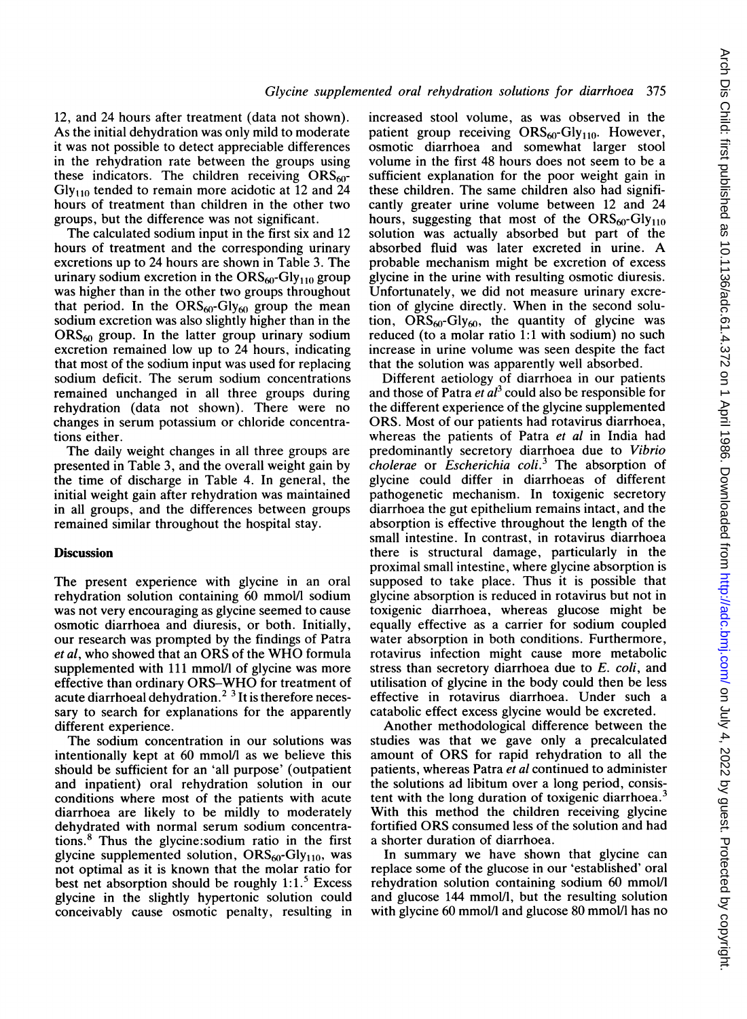12, and 24 hours after treatment (data not shown). As the initial dehydration was only mild to moderate it was not possible to detect appreciable differences in the rehydration rate between the groups using these indicators. The children receiving  $ORS<sub>60</sub>$ - $Gly<sub>110</sub>$  tended to remain more acidotic at 12 and 24 hours of treatment than children in the other two groups, but the difference was not significant.

The calculated sodium input in the first six and 12 hours of treatment and the corresponding urinary excretions up to 24 hours are shown in Table 3. The urinary sodium excretion in the  $ORS<sub>60</sub>-Gly<sub>110</sub>$  group was higher than in the other two groups throughout that period. In the  $ORS_{60}$ -Gly<sub>60</sub> group the mean sodium excretion was also slightly higher than in the  $ORS<sub>60</sub>$  group. In the latter group urinary sodium excretion remained low up to 24 hours, indicating that most of the sodium input was used for replacing sodium deficit. The serum sodium concentrations remained unchanged in all three groups during rehydration (data not shown). There were no changes in serum potassium or chloride concentrations either.

The daily weight changes in all three groups are presented in Table 3, and the overall weight gain by the time of discharge in Table 4. In general, the initial weight gain after rehydration was maintained in all groups, and the differences between groups remained similar throughout the hospital stay.

### **Discussion**

The present experience with glycine in an oral rehydration solution containing 60 mmol/l sodium was not very encouraging as glycine seemed to cause osmotic diarrhoea and diuresis, or both. Initially, our research was prompted by the findings of Patra et al, who showed that an ORS of the WHO formula supplemented with 111 mmol/l of glycine was more effective than ordinary ORS-WHO for treatment of acute diarrhoeal dehydration.<sup>2</sup> <sup>3</sup> It is therefore necessary to search for explanations for the apparently different experience.

The sodium concentration in our solutions was intentionally kept at 60 mmol/l as we believe this should be sufficient for an 'all purpose' (outpatient and inpatient) oral rehydration solution in our conditions where most of the patients with acute diarrhoea are likely to be mildly to moderately dehydrated with normal serum sodium concentrations.8 Thus the glycine:sodium ratio in the first glycine supplemented solution,  $ORS<sub>60</sub>-Gly<sub>110</sub>$ , was not optimal as it is known that the molar ratio for best net absorption should be roughly  $1:1.^5$  Excess glycine in the slightly hypertonic solution could conceivably cause osmotic penalty, resulting in increased stool volume, as was observed in the patient group receiving  $ORS_{60}$ -Gly<sub>110</sub>. However, osmotic diarrhoea and somewhat larger stool volume in the first 48 hours does not seem to be a sufficient explanation for the poor weight gain in these children. The same children also had significantly greater urine volume between 12 and 24 hours, suggesting that most of the  $ORS_{60}$ -Gly<sub>110</sub> solution was actually absorbed but part of the absorbed fluid was later excreted in urine. A probable mechanism might be excretion of excess glycine in the urine with resulting osmotic diuresis. Unfortunately, we did not measure urinary excretion of glycine directly. When in the second solution,  $ORS_{60}$ -Gly<sub>60</sub>, the quantity of glycine was reduced (to a molar ratio 1:1 with sodium) no such increase in urine volume was seen despite the fact that the solution was apparently well absorbed.

Different aetiology of diarrhoea in our patients and those of Patra  $et al^3$  could also be responsible for the different experience of the glycine supplemented ORS. Most of our patients had rotavirus diarrhoea, whereas the patients of Patra et al in India had predominantly secretory diarrhoea due to Vibrio  $cholerae$  or *Escherichia coli.*<sup>3</sup> The absorption of glycine could differ in diarrhoeas of different pathogenetic mechanism. In toxigenic secretory diarrhoea the gut epithelium remains intact, and the absorption is effective throughout the length of the small intestine. In contrast, in rotavirus diarrhoea there is structural damage, particularly in the proximal small intestine, where glycine absorption is supposed to take place. Thus it is possible that glycine absorption is reduced in rotavirus but not in toxigenic diarrhoea, whereas glucose might be equally effective as a carrier for sodium coupled water absorption in both conditions. Furthermore, rotavirus infection might cause more metabolic stress than secretory diarrhoea due to E. coli, and utilisation of glycine in the body could then be less effective in rotavirus diarrhoea. Under such a catabolic effect excess glycine would be excreted.

Another methodological difference between the studies was that we gave only a precalculated amount of ORS for rapid rehydration to all the patients, whereas Patra et al continued to administer the solutions ad libitum over a long period, consistent with the long duration of toxigenic diarrhoea.<sup>3</sup> With this method the children receiving glycine fortified ORS consumed less of the solution and had a shorter duration of diarrhoea.

In summary we have shown that glycine can replace some of the glucose in our 'established' oral rehydration solution containing sodium 60 mmol/l and glucose 144 mmol/l, but the resulting solution with glycine 60 mmol/l and glucose 80 mmol/l has no